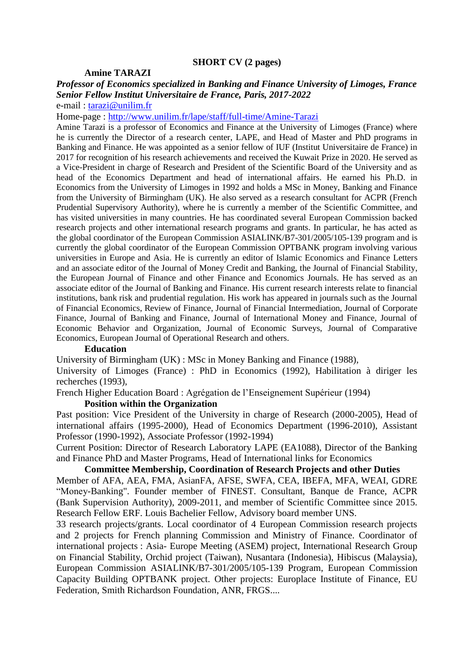# **SHORT CV (2 pages)**

## **Amine TARAZI**

## *Professor of Economics specialized in Banking and Finance University of Limoges, France Senior Fellow Institut Universitaire de France, Paris, 2017-2022* e-mail : [tarazi@unilim.fr](mailto:tarazi@unilim.fr)

Home-page :<http://www.unilim.fr/lape/staff/full-time/Amine-Tarazi>

Amine Tarazi is a professor of Economics and Finance at the University of Limoges (France) where he is currently the Director of a research center, LAPE, and Head of Master and PhD programs in Banking and Finance. He was appointed as a senior fellow of IUF (Institut Universitaire de France) in 2017 for recognition of his research achievements and received the Kuwait Prize in 2020. He served as a Vice-President in charge of Research and President of the Scientific Board of the University and as head of the Economics Department and head of international affairs. He earned his Ph.D. in Economics from the University of Limoges in 1992 and holds a MSc in Money, Banking and Finance from the University of Birmingham (UK). He also served as a research consultant for ACPR (French Prudential Supervisory Authority), where he is currently a member of the Scientific Committee, and has visited universities in many countries. He has coordinated several European Commission backed research projects and other international research programs and grants. In particular, he has acted as the global coordinator of the European Commission ASIALINK/B7-301/2005/105-139 program and is currently the global coordinator of the European Commission OPTBANK program involving various universities in Europe and Asia. He is currently an editor of Islamic Economics and Finance Letters and an associate editor of the Journal of Money Credit and Banking, the Journal of Financial Stability, the European Journal of Finance and other Finance and Economics Journals. He has served as an associate editor of the Journal of Banking and Finance. His current research interests relate to financial institutions, bank risk and prudential regulation. His work has appeared in journals such as the Journal of Financial Economics, Review of Finance, Journal of Financial Intermediation, Journal of Corporate Finance, Journal of Banking and Finance, Journal of International Money and Finance, Journal of Economic Behavior and Organization, Journal of Economic Surveys, Journal of Comparative Economics, European Journal of Operational Research and others.

### **Education**

University of Birmingham (UK) : MSc in Money Banking and Finance (1988),

University of Limoges (France) : PhD in Economics (1992), Habilitation à diriger les recherches (1993),

French Higher Education Board : Agrégation de l'Enseignement Supérieur (1994)

### **Position within the Organization**

Past position: Vice President of the University in charge of Research (2000-2005), Head of international affairs (1995-2000), Head of Economics Department (1996-2010), Assistant Professor (1990-1992), Associate Professor (1992-1994)

Current Position: Director of Research Laboratory LAPE (EA1088), Director of the Banking and Finance PhD and Master Programs, Head of International links for Economics

## **Committee Membership, Coordination of Research Projects and other Duties**

Member of AFA, AEA, FMA, AsianFA, AFSE, SWFA, CEA, IBEFA, MFA, WEAI, GDRE "Money-Banking". Founder member of FINEST. Consultant, Banque de France, ACPR (Bank Supervision Authority), 2009-2011, and member of Scientific Committee since 2015. Research Fellow ERF. Louis Bachelier Fellow, Advisory board member UNS.

33 research projects/grants. Local coordinator of 4 European Commission research projects and 2 projects for French planning Commission and Ministry of Finance. Coordinator of international projects : Asia- Europe Meeting (ASEM) project, International Research Group on Financial Stability, Orchid project (Taiwan), Nusantara (Indonesia), Hibiscus (Malaysia), European Commission ASIALINK/B7-301/2005/105-139 Program, European Commission Capacity Building OPTBANK project. Other projects: Europlace Institute of Finance, EU Federation, Smith Richardson Foundation, ANR, FRGS....